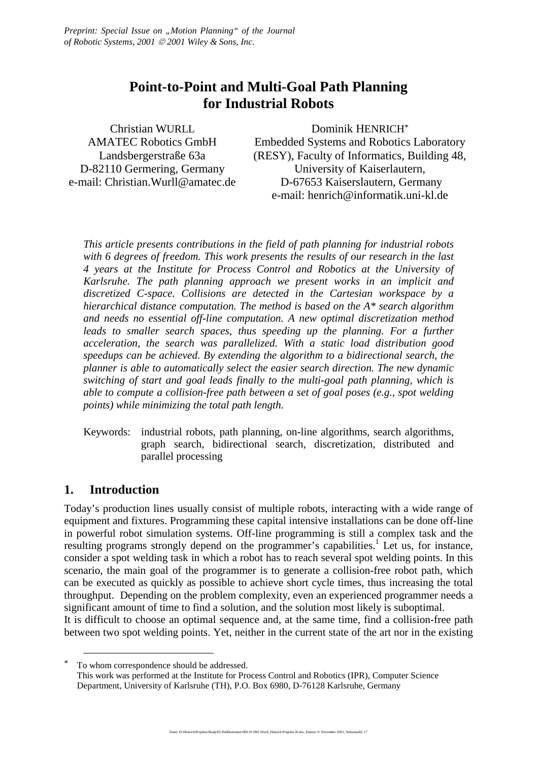# **Point-to-Point and Multi-Goal Path Planning for Industrial Robots**

Christian WURLL AMATEC Robotics GmbH Landsbergerstraße 63a D-82110 Germering, Germany e-mail: Christian.Wurll@amatec.de Dominik HENRICH\* Embedded Systems and Robotics Laboratory (RESY), Faculty of Informatics, Building 48, University of Kaiserlautern, D-67653 Kaiserslautern, Germany e-mail: henrich@informatik.uni-kl.de

*This article presents contributions in the field of path planning for industrial robots with 6 degrees of freedom. This work presents the results of our research in the last 4 years at the Institute for Process Control and Robotics at the University of Karlsruhe. The path planning approach we present works in an implicit and discretized C-space. Collisions are detected in the Cartesian workspace by a hierarchical distance computation. The method is based on the A\* search algorithm and needs no essential off-line computation. A new optimal discretization method leads to smaller search spaces, thus speeding up the planning. For a further acceleration, the search was parallelized. With a static load distribution good speedups can be achieved. By extending the algorithm to a bidirectional search, the planner is able to automatically select the easier search direction. The new dynamic switching of start and goal leads finally to the multi-goal path planning, which is able to compute a collision-free path between a set of goal poses (e.g., spot welding points) while minimizing the total path length.* 

Keywords: industrial robots, path planning, on-line algorithms, search algorithms, graph search, bidirectional search, discretization, distributed and parallel processing

# **1. Introduction**

Today's production lines usually consist of multiple robots, interacting with a wide range of equipment and fixtures. Programming these capital intensive installations can be done off-line in powerful robot simulation systems. Off-line programming is still a complex task and the resulting programs strongly depend on the programmer's capabilities.<sup>1</sup> Let us, for instance, consider a spot welding task in which a robot has to reach several spot welding points. In this scenario, the main goal of the programmer is to generate a collision-free robot path, which can be executed as quickly as possible to achieve short cycle times, thus increasing the total throughput. Depending on the problem complexity, even an experienced programmer needs a significant amount of time to find a solution, and the solution most likely is suboptimal. It is difficult to choose an optimal sequence and, at the same time, find a collision-free path between two spot welding points. Yet, neither in the current state of the art nor in the existing

To whom correspondence should be addressed.

This work was performed at the Institute for Process Control and Robotics (IPR), Computer Science Department, University of Karlsruhe (TH), P.O. Box 6980, D-76128 Karlsruhe, Germany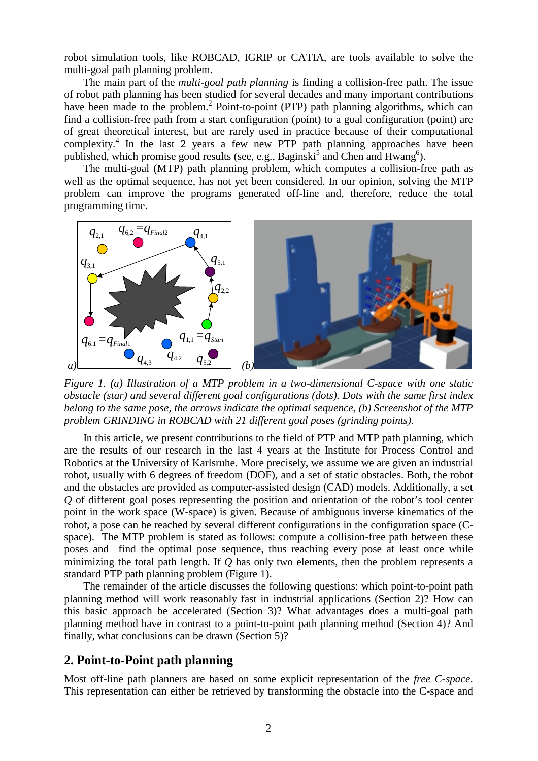robot simulation tools, like ROBCAD, IGRIP or CATIA, are tools available to solve the multi-goal path planning problem.

The main part of the *multi-goal path planning* is finding a collision-free path. The issue of robot path planning has been studied for several decades and many important contributions have been made to the problem.<sup>2</sup> Point-to-point (PTP) path planning algorithms, which can find a collision-free path from a start configuration (point) to a goal configuration (point) are of great theoretical interest, but are rarely used in practice because of their computational complexity.<sup>4</sup> In the last 2 years a few new PTP path planning approaches have been published, which promise good results (see, e.g., Baginski<sup>5</sup> and Chen and Hwang<sup>6</sup>).

The multi-goal (MTP) path planning problem, which computes a collision-free path as well as the optimal sequence, has not yet been considered. In our opinion, solving the MTP problem can improve the programs generated off-line and, therefore, reduce the total programming time.



*Figure 1. (a) Illustration of a MTP problem in a two-dimensional C-space with one static obstacle (star) and several different goal configurations (dots). Dots with the same first index belong to the same pose, the arrows indicate the optimal sequence, (b) Screenshot of the MTP problem GRINDING in ROBCAD with 21 different goal poses (grinding points).* 

In this article, we present contributions to the field of PTP and MTP path planning, which are the results of our research in the last 4 years at the Institute for Process Control and Robotics at the University of Karlsruhe. More precisely, we assume we are given an industrial robot, usually with 6 degrees of freedom (DOF), and a set of static obstacles. Both, the robot and the obstacles are provided as computer-assisted design (CAD) models. Additionally, a set *Q* of different goal poses representing the position and orientation of the robot's tool center point in the work space (W-space) is given. Because of ambiguous inverse kinematics of the robot, a pose can be reached by several different configurations in the configuration space (Cspace). The MTP problem is stated as follows: compute a collision-free path between these poses and find the optimal pose sequence, thus reaching every pose at least once while minimizing the total path length. If *Q* has only two elements, then the problem represents a standard PTP path planning problem (Figure 1).

The remainder of the article discusses the following questions: which point-to-point path planning method will work reasonably fast in industrial applications (Section 2)? How can this basic approach be accelerated (Section 3)? What advantages does a multi-goal path planning method have in contrast to a point-to-point path planning method (Section 4)? And finally, what conclusions can be drawn (Section 5)?

# **2. Point-to-Point path planning**

Most off-line path planners are based on some explicit representation of the *free C-space*. This representation can either be retrieved by transforming the obstacle into the C-space and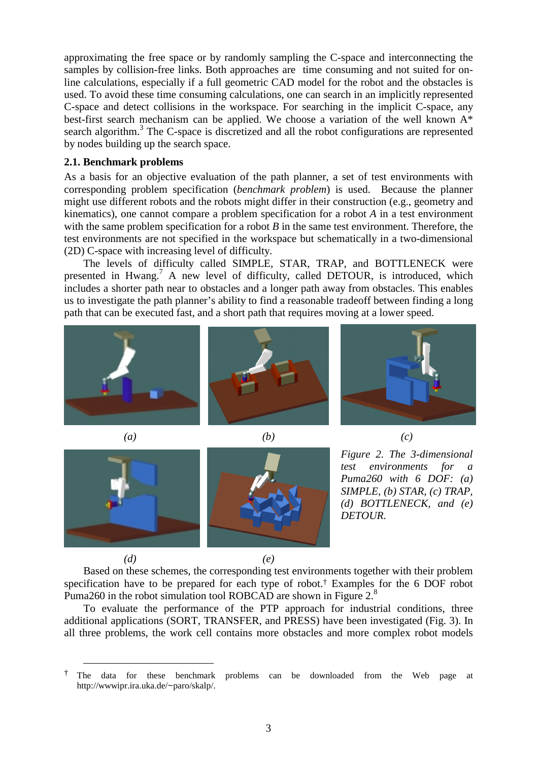approximating the free space or by randomly sampling the C-space and interconnecting the samples by collision-free links. Both approaches are time consuming and not suited for online calculations, especially if a full geometric CAD model for the robot and the obstacles is used. To avoid these time consuming calculations, one can search in an implicitly represented C-space and detect collisions in the workspace. For searching in the implicit C-space, any best-first search mechanism can be applied. We choose a variation of the well known A\* search algorithm.<sup>3</sup> The C-space is discretized and all the robot configurations are represented by nodes building up the search space.

# **2.1. Benchmark problems**

As a basis for an objective evaluation of the path planner, a set of test environments with corresponding problem specification (*benchmark problem*) is used. Because the planner might use different robots and the robots might differ in their construction (e.g., geometry and kinematics), one cannot compare a problem specification for a robot *A* in a test environment with the same problem specification for a robot *B* in the same test environment. Therefore, the test environments are not specified in the workspace but schematically in a two-dimensional (2D) C-space with increasing level of difficulty.

The levels of difficulty called SIMPLE, STAR, TRAP, and BOTTLENECK were presented in Hwang.<sup>7</sup> A new level of difficulty, called DETOUR, is introduced, which includes a shorter path near to obstacles and a longer path away from obstacles. This enables us to investigate the path planner's ability to find a reasonable tradeoff between finding a long path that can be executed fast, and a short path that requires moving at a lower speed.



 $(a)$  (b)  $(c)$ 



*Figure 2. The 3-dimensional test environments for a Puma260 with 6 DOF: (a) SIMPLE, (b) STAR, (c) TRAP, (d) BOTTLENECK, and (e) DETOUR.*

*(d) (e)*  Based on these schemes, the corresponding test environments together with their problem specification have to be prepared for each type of robot.† Examples for the 6 DOF robot Puma260 in the robot simulation tool ROBCAD are shown in Figure 2.<sup>8</sup>

To evaluate the performance of the PTP approach for industrial conditions, three additional applications (SORT, TRANSFER, and PRESS) have been investigated (Fig. 3). In all three problems, the work cell contains more obstacles and more complex robot models

 <sup>†</sup> The data for these benchmark problems can be downloaded from the Web page at http://wwwipr.ira.uka.de/~paro/skalp/.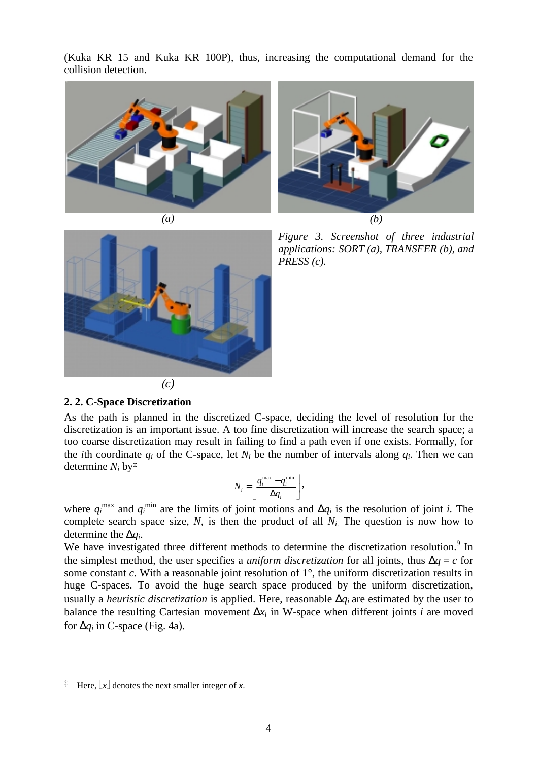(Kuka KR 15 and Kuka KR 100P), thus, increasing the computational demand for the collision detection.







*Figure 3. Screenshot of three industrial applications: SORT (a), TRANSFER (b), and PRESS (c).* 

# **2. 2. C-Space Discretization**

As the path is planned in the discretized C-space, deciding the level of resolution for the discretization is an important issue. A too fine discretization will increase the search space; a too coarse discretization may result in failing to find a path even if one exists. Formally, for the *i*th coordinate  $q_i$  of the C-space, let  $N_i$  be the number of intervals along  $q_i$ . Then we can determine *Ni* by‡

$$
N_i = \left\lfloor \frac{q_i^{\max} - q_i^{\min}}{\Delta q_i} \right\rfloor,
$$

where  $q_i^{\text{max}}$  and  $q_i^{\text{min}}$  are the limits of joint motions and  $\Delta q_i$  is the resolution of joint *i*. The complete search space size, *N*, is then the product of all  $N_i$ . The question is now how to determine the ∆*qi*.

We have investigated three different methods to determine the discretization resolution.<sup>9</sup> In the simplest method, the user specifies a *uniform discretization* for all joints, thus ∆*q* = *c* for some constant *c*. With a reasonable joint resolution of 1°, the uniform discretization results in huge C-spaces. To avoid the huge search space produced by the uniform discretization, usually a *heuristic discretization* is applied. Here, reasonable ∆*qi* are estimated by the user to balance the resulting Cartesian movement  $\Delta x_i$  in W-space when different joints *i* are moved for ∆*qi* in C-space (Fig. 4a).

 $\ddagger$  Here,  $\lfloor x \rfloor$  denotes the next smaller integer of *x*.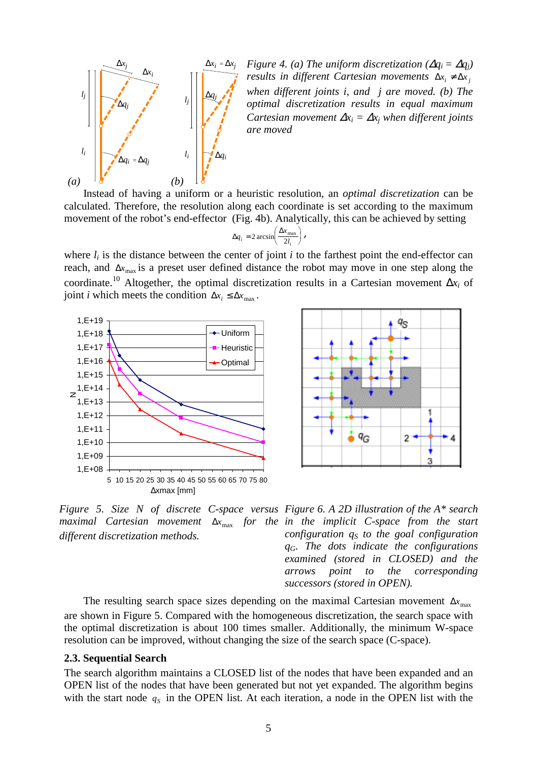

*Figure 4. (a) The uniform discretization (* $\Delta q_i = \Delta q_i$ *) results in different Cartesian movements*  $\Delta x_i \neq \Delta x_j$ *when different joints i, and j are moved. (b) The optimal discretization results in equal maximum Cartesian movement*  $\Delta x_i = \Delta x_i$  when different joints *are moved* 

Instead of having a uniform or a heuristic resolution, an *optimal discretization* can be calculated. Therefore, the resolution along each coordinate is set according to the maximum movement of the robot's end-effector (Fig. 4b). Analytically, this can be achieved by setting

$$
\Delta q_i = 2 \arcsin \left( \frac{\Delta x_{\text{max}}}{2l_i} \right),
$$

where  $l_i$  is the distance between the center of joint  $i$  to the farthest point the end-effector can reach, and ∆*x*<sub>max</sub> is a preset user defined distance the robot may move in one step along the coordinate.10 Altogether, the optimal discretization results in a Cartesian movement ∆*xi* of joint *i* which meets the condition  $\Delta x_i \leq \Delta x_{\text{max}}$ .





*Figure 5. Size N of discrete C-space versus Figure 6. A 2D illustration of the A\* search maximal Cartesian movement* ∆*x*max *for the different discretization methods.* 

 $\Delta x_{\text{max}}$  for the in the implicit C-space from the start *configuration q<sub>S</sub> to the goal configuration qG*. *The dots indicate the configurations examined (stored in CLOSED) and the arrows point to the corresponding successors (stored in OPEN).* 

The resulting search space sizes depending on the maximal Cartesian movement ∆*x*<sub>max</sub> are shown in Figure 5. Compared with the homogeneous discretization, the search space with the optimal discretization is about 100 times smaller. Additionally, the minimum W-space resolution can be improved, without changing the size of the search space (C-space).

#### **2.3. Sequential Search**

The search algorithm maintains a CLOSED list of the nodes that have been expanded and an OPEN list of the nodes that have been generated but not yet expanded. The algorithm begins with the start node  $q_s$  in the OPEN list. At each iteration, a node in the OPEN list with the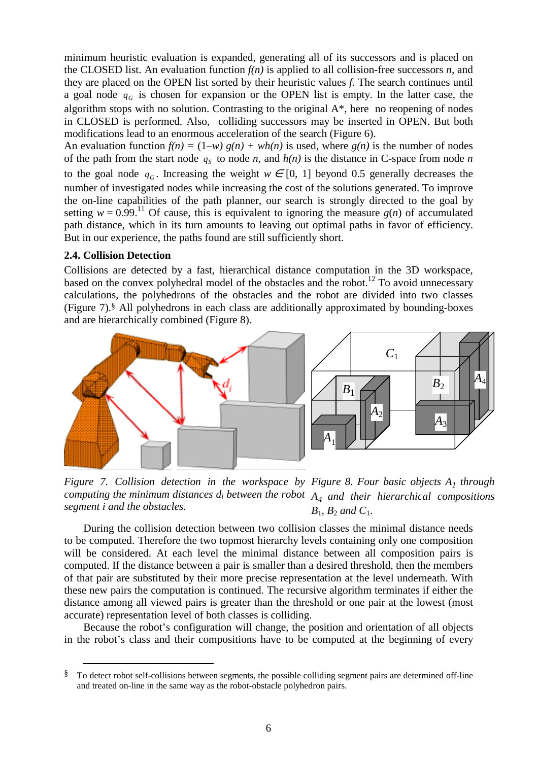minimum heuristic evaluation is expanded, generating all of its successors and is placed on the CLOSED list. An evaluation function  $f(n)$  is applied to all collision-free successors *n*, and they are placed on the OPEN list sorted by their heuristic values *f*. The search continues until a goal node  $q_G$  is chosen for expansion or the OPEN list is empty. In the latter case, the algorithm stops with no solution. Contrasting to the original A\*, here no reopening of nodes in CLOSED is performed. Also, colliding successors may be inserted in OPEN. But both modifications lead to an enormous acceleration of the search (Figure 6).

An evaluation function  $f(n) = (1-w) g(n) + wh(n)$  is used, where  $g(n)$  is the number of nodes of the path from the start node  $q_s$  to node *n*, and  $h(n)$  is the distance in C-space from node *n* to the goal node  $q_G$ . Increasing the weight  $w \in [0, 1]$  beyond 0.5 generally decreases the number of investigated nodes while increasing the cost of the solutions generated. To improve the on-line capabilities of the path planner, our search is strongly directed to the goal by setting  $w = 0.99$ .<sup>11</sup> Of cause, this is equivalent to ignoring the measure  $g(n)$  of accumulated path distance, which in its turn amounts to leaving out optimal paths in favor of efficiency. But in our experience, the paths found are still sufficiently short.

# **2.4. Collision Detection**

Collisions are detected by a fast, hierarchical distance computation in the 3D workspace, based on the convex polyhedral model of the obstacles and the robot.<sup>12</sup> To avoid unnecessary calculations, the polyhedrons of the obstacles and the robot are divided into two classes (Figure 7).§ All polyhedrons in each class are additionally approximated by bounding-boxes and are hierarchically combined (Figure 8).



*Figure 7. Collision detection in the workspace by Figure 8. Four basic objects A1 through computing the minimum distances di between the robot A4 and their hierarchical compositions segment i and the obstacles. B*1*, B*2 *and C*1.

During the collision detection between two collision classes the minimal distance needs to be computed. Therefore the two topmost hierarchy levels containing only one composition will be considered. At each level the minimal distance between all composition pairs is computed. If the distance between a pair is smaller than a desired threshold, then the members of that pair are substituted by their more precise representation at the level underneath. With these new pairs the computation is continued. The recursive algorithm terminates if either the distance among all viewed pairs is greater than the threshold or one pair at the lowest (most accurate) representation level of both classes is colliding.

Because the robot's configuration will change, the position and orientation of all objects in the robot's class and their compositions have to be computed at the beginning of every

<sup>§</sup> To detect robot self-collisions between segments, the possible colliding segment pairs are determined off-line and treated on-line in the same way as the robot-obstacle polyhedron pairs.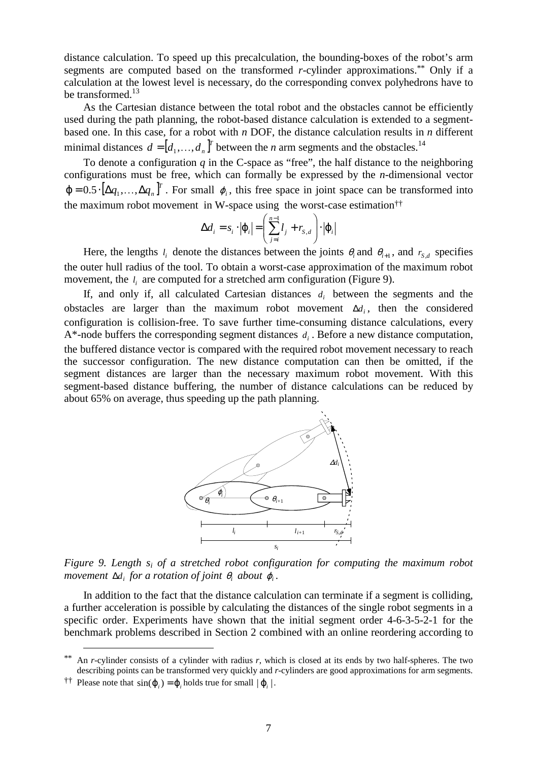distance calculation. To speed up this precalculation, the bounding-boxes of the robot's arm segments are computed based on the transformed *r*-cylinder approximations.<sup>\*\*</sup> Only if a calculation at the lowest level is necessary, do the corresponding convex polyhedrons have to be transformed.<sup>13</sup>

As the Cartesian distance between the total robot and the obstacles cannot be efficiently used during the path planning, the robot-based distance calculation is extended to a segmentbased one. In this case, for a robot with *n* DOF, the distance calculation results in *n* different minimal distances  $d = [d_1, ..., d_n]^T$  between the *n* arm segments and the obstacles.<sup>14</sup>

To denote a configuration  $q$  in the C-space as "free", the half distance to the neighboring configurations must be free, which can formally be expressed by the *n*-dimensional vector  $\varphi = 0.5 \cdot [\Delta q_1, \ldots, \Delta q_n]^T$ . For small  $\varphi_i$ , this free space in joint space can be transformed into the maximum robot movement in W-space using the worst-case estimation††

$$
\Delta d_i = s_i \cdot |\mathbf{\varphi}_i| = \left(\sum_{j=i}^{n-1} l_j + r_{s,d}\right) \cdot |\mathbf{\varphi}_i|
$$

Here, the lengths  $l_i$  denote the distances between the joints  $\theta_i$  and  $\theta_{i+1}$ , and  $r_{S,d}$  specifies the outer hull radius of the tool. To obtain a worst-case approximation of the maximum robot movement, the  $l_i$  are computed for a stretched arm configuration (Figure 9).

If, and only if, all calculated Cartesian distances  $d_i$  between the segments and the obstacles are larger than the maximum robot movement ∆*d<sub>i</sub>*, then the considered configuration is collision-free. To save further time-consuming distance calculations, every A\*-node buffers the corresponding segment distances *di* . Before a new distance computation, the buffered distance vector is compared with the required robot movement necessary to reach the successor configuration. The new distance computation can then be omitted, if the segment distances are larger than the necessary maximum robot movement. With this segment-based distance buffering, the number of distance calculations can be reduced by about 65% on average, thus speeding up the path planning.



*Figure 9. Length si of a stretched robot configuration for computing the maximum robot movement*  $\Delta d_i$  *for a rotation of joint*  $\theta_i$  *about*  $\varphi_i$ *.* 

In addition to the fact that the distance calculation can terminate if a segment is colliding, a further acceleration is possible by calculating the distances of the single robot segments in a specific order. Experiments have shown that the initial segment order 4-6-3-5-2-1 for the benchmark problems described in Section 2 combined with an online reordering according to

An *r*-cylinder consists of a cylinder with radius *r*, which is closed at its ends by two half-spheres. The two describing points can be transformed very quickly and *r*-cylinders are good approximations for arm segments.

<sup>&</sup>lt;sup>††</sup> Please note that  $sin(\phi) = \phi$  holds true for small  $|\phi|$ .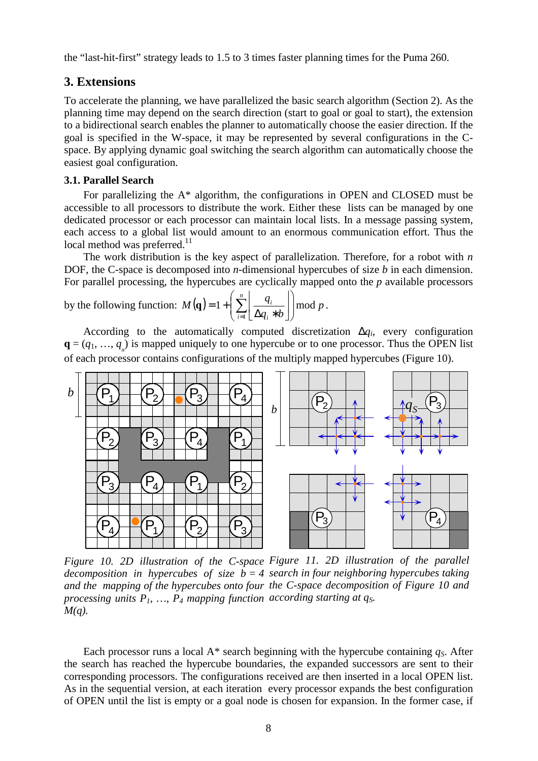the "last-hit-first" strategy leads to 1.5 to 3 times faster planning times for the Puma 260.

# **3. Extensions**

To accelerate the planning, we have parallelized the basic search algorithm (Section 2). As the planning time may depend on the search direction (start to goal or goal to start), the extension to a bidirectional search enables the planner to automatically choose the easier direction. If the goal is specified in the W-space, it may be represented by several configurations in the Cspace. By applying dynamic goal switching the search algorithm can automatically choose the easiest goal configuration.

#### **3.1. Parallel Search**

For parallelizing the A\* algorithm, the configurations in OPEN and CLOSED must be accessible to all processors to distribute the work. Either these lists can be managed by one dedicated processor or each processor can maintain local lists. In a message passing system, each access to a global list would amount to an enormous communication effort. Thus the local method was preferred.<sup>11</sup>

The work distribution is the key aspect of parallelization. Therefore, for a robot with *n* DOF, the C-space is decomposed into *n*-dimensional hypercubes of size *b* in each dimension. For parallel processing, the hypercubes are cyclically mapped onto the *p* available processors

by the following function: 
$$
M(\mathbf{q}) = 1 + \left(\sum_{i=1}^{n} \left\lfloor \frac{q_i}{\Delta q_i * b} \right\rfloor \right) \text{ mod } p
$$
.

According to the automatically computed discretization ∆*qi*, every configuration  $\mathbf{q} = (q_1, \ldots, q_n)$  is mapped uniquely to one hypercube or to one processor. Thus the OPEN list of each processor contains configurations of the multiply mapped hypercubes (Figure 10).



*Figure 10. 2D illustration of the C-space Figure 11. 2D illustration of the parallel decomposition in hypercubes of size b = 4 search in four neighboring hypercubes taking*  and the mapping of the hypercubes onto four the C-space decomposition of Figure 10 and *processing units P1, …, P4 mapping function according starting at qS. M(q).* 

Each processor runs a local  $A^*$  search beginning with the hypercube containing  $q_s$ . After the search has reached the hypercube boundaries, the expanded successors are sent to their corresponding processors. The configurations received are then inserted in a local OPEN list. As in the sequential version, at each iteration every processor expands the best configuration of OPEN until the list is empty or a goal node is chosen for expansion. In the former case, if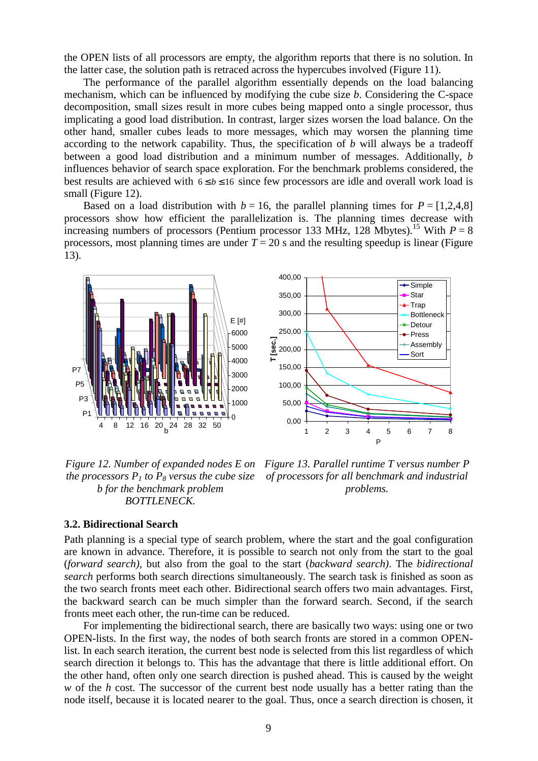the OPEN lists of all processors are empty, the algorithm reports that there is no solution. In the latter case, the solution path is retraced across the hypercubes involved (Figure 11).

The performance of the parallel algorithm essentially depends on the load balancing mechanism, which can be influenced by modifying the cube size *b*. Considering the C-space decomposition, small sizes result in more cubes being mapped onto a single processor, thus implicating a good load distribution. In contrast, larger sizes worsen the load balance. On the other hand, smaller cubes leads to more messages, which may worsen the planning time according to the network capability. Thus, the specification of *b* will always be a tradeoff between a good load distribution and a minimum number of messages. Additionally, *b* influences behavior of search space exploration. For the benchmark problems considered, the best results are achieved with  $6 \le b \le 16$  since few processors are idle and overall work load is small (Figure 12).

Based on a load distribution with  $b = 16$ , the parallel planning times for  $P = [1,2,4,8]$ processors show how efficient the parallelization is. The planning times decrease with increasing numbers of processors (Pentium processor 133 MHz, 128 Mbytes).<sup>15</sup> With  $P = 8$ processors, most planning times are under  $T = 20$  s and the resulting speedup is linear (Figure 13).





*Figure 12. Number of expanded nodes E on the processors*  $P_1$  *to*  $P_8$  *versus the cube size b for the benchmark problem BOTTLENECK.*

# *Figure 13. Parallel runtime T versus number P of processo*r*s for all benchmark and industrial problems.*

#### **3.2. Bidirectional Search**

Path planning is a special type of search problem, where the start and the goal configuration are known in advance. Therefore, it is possible to search not only from the start to the goal (*forward search),* but also from the goal to the start (*backward search)*. The *bidirectional search* performs both search directions simultaneously. The search task is finished as soon as the two search fronts meet each other. Bidirectional search offers two main advantages. First, the backward search can be much simpler than the forward search. Second, if the search fronts meet each other, the run-time can be reduced.

For implementing the bidirectional search, there are basically two ways: using one or two OPEN-lists. In the first way, the nodes of both search fronts are stored in a common OPENlist. In each search iteration, the current best node is selected from this list regardless of which search direction it belongs to. This has the advantage that there is little additional effort. On the other hand, often only one search direction is pushed ahead. This is caused by the weight *w* of the *h* cost. The successor of the current best node usually has a better rating than the node itself, because it is located nearer to the goal. Thus, once a search direction is chosen, it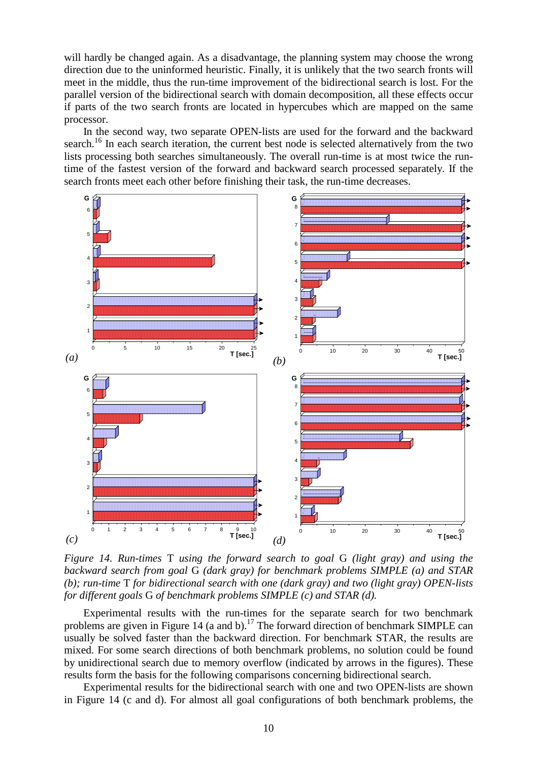will hardly be changed again. As a disadvantage, the planning system may choose the wrong direction due to the uninformed heuristic. Finally, it is unlikely that the two search fronts will meet in the middle, thus the run-time improvement of the bidirectional search is lost. For the parallel version of the bidirectional search with domain decomposition, all these effects occur if parts of the two search fronts are located in hypercubes which are mapped on the same processor.

In the second way, two separate OPEN-lists are used for the forward and the backward search.<sup>16</sup> In each search iteration, the current best node is selected alternatively from the two lists processing both searches simultaneously. The overall run-time is at most twice the runtime of the fastest version of the forward and backward search processed separately. If the search fronts meet each other before finishing their task, the run-time decreases.



*Figure 14. Run-times* T *using the forward search to goal* G *(light gray) and using the backward search from goal* G *(dark gray) for benchmark problems SIMPLE (a) and STAR (b); run-time* T *for bidirectional search with one (dark gray) and two (light gray) OPEN-lists for different goals* G *of benchmark problems SIMPLE (c) and STAR (d).* 

Experimental results with the run-times for the separate search for two benchmark problems are given in Figure 14 (a and b).<sup>17</sup> The forward direction of benchmark SIMPLE can usually be solved faster than the backward direction. For benchmark STAR, the results are mixed. For some search directions of both benchmark problems, no solution could be found by unidirectional search due to memory overflow (indicated by arrows in the figures). These results form the basis for the following comparisons concerning bidirectional search.

Experimental results for the bidirectional search with one and two OPEN-lists are shown in Figure 14 (c and d). For almost all goal configurations of both benchmark problems, the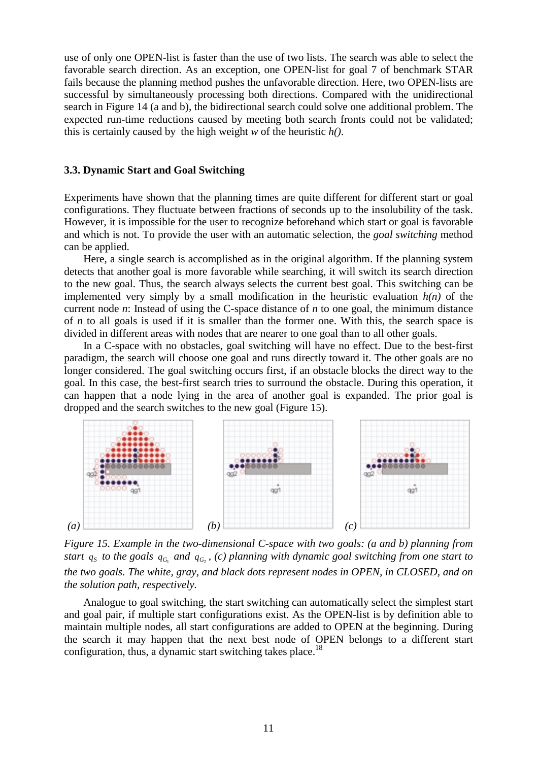use of only one OPEN-list is faster than the use of two lists. The search was able to select the favorable search direction. As an exception, one OPEN-list for goal 7 of benchmark STAR fails because the planning method pushes the unfavorable direction. Here, two OPEN-lists are successful by simultaneously processing both directions. Compared with the unidirectional search in Figure 14 (a and b), the bidirectional search could solve one additional problem. The expected run-time reductions caused by meeting both search fronts could not be validated; this is certainly caused by the high weight *w* of the heuristic *h()*.

#### **3.3. Dynamic Start and Goal Switching**

Experiments have shown that the planning times are quite different for different start or goal configurations. They fluctuate between fractions of seconds up to the insolubility of the task. However, it is impossible for the user to recognize beforehand which start or goal is favorable and which is not. To provide the user with an automatic selection, the *goal switching* method can be applied.

Here, a single search is accomplished as in the original algorithm. If the planning system detects that another goal is more favorable while searching, it will switch its search direction to the new goal. Thus, the search always selects the current best goal. This switching can be implemented very simply by a small modification in the heuristic evaluation *h(n)* of the current node *n*: Instead of using the C-space distance of *n* to one goal, the minimum distance of *n* to all goals is used if it is smaller than the former one. With this, the search space is divided in different areas with nodes that are nearer to one goal than to all other goals.

In a C-space with no obstacles, goal switching will have no effect. Due to the best-first paradigm, the search will choose one goal and runs directly toward it. The other goals are no longer considered. The goal switching occurs first, if an obstacle blocks the direct way to the goal. In this case, the best-first search tries to surround the obstacle. During this operation, it can happen that a node lying in the area of another goal is expanded. The prior goal is dropped and the search switches to the new goal (Figure 15).



*Figure 15. Example in the two-dimensional C-space with two goals: (a and b) planning from start*  $q_S$  *to the goals*  $q_{G_1}$  *and*  $q_{G_2}$ *, (c) planning with dynamic goal switching from one start to the two goals. The white, gray, and black dots represent nodes in OPEN, in CLOSED, and on the solution path, respectively.* 

Analogue to goal switching, the start switching can automatically select the simplest start and goal pair, if multiple start configurations exist. As the OPEN-list is by definition able to maintain multiple nodes, all start configurations are added to OPEN at the beginning. During the search it may happen that the next best node of OPEN belongs to a different start configuration, thus, a dynamic start switching takes place.<sup>18</sup>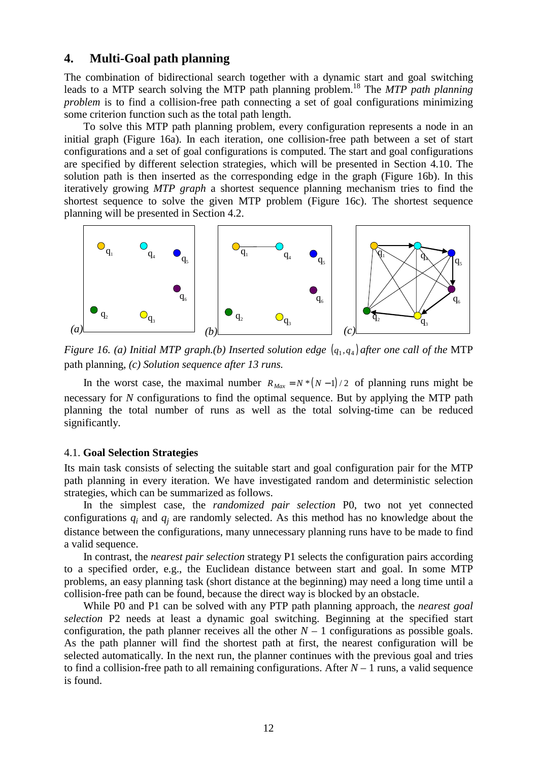# **4. Multi-Goal path planning**

The combination of bidirectional search together with a dynamic start and goal switching leads to a MTP search solving the MTP path planning problem.18 The *MTP path planning problem* is to find a collision-free path connecting a set of goal configurations minimizing some criterion function such as the total path length.

To solve this MTP path planning problem, every configuration represents a node in an initial graph (Figure 16a). In each iteration, one collision-free path between a set of start configurations and a set of goal configurations is computed. The start and goal configurations are specified by different selection strategies, which will be presented in Section 4.10. The solution path is then inserted as the corresponding edge in the graph (Figure 16b). In this iteratively growing *MTP graph* a shortest sequence planning mechanism tries to find the shortest sequence to solve the given MTP problem (Figure 16c). The shortest sequence planning will be presented in Section 4.2.



*Figure 16. (a) Initial MTP graph.(b) Inserted solution edge*  $(q_1, q_4)$  *after one call of the MTP* path planning, *(c) Solution sequence after 13 runs.* 

In the worst case, the maximal number  $R_{Max} = N*(N-1)/2$  of planning runs might be necessary for *N* configurations to find the optimal sequence. But by applying the MTP path planning the total number of runs as well as the total solving-time can be reduced significantly.

#### 4.1. **Goal Selection Strategies**

Its main task consists of selecting the suitable start and goal configuration pair for the MTP path planning in every iteration. We have investigated random and deterministic selection strategies, which can be summarized as follows.

In the simplest case, the *randomized pair selection* P0, two not yet connected configurations  $q_i$  and  $q_j$  are randomly selected. As this method has no knowledge about the distance between the configurations, many unnecessary planning runs have to be made to find a valid sequence.

In contrast, the *nearest pair selection* strategy P1 selects the configuration pairs according to a specified order, e.g., the Euclidean distance between start and goal. In some MTP problems, an easy planning task (short distance at the beginning) may need a long time until a collision-free path can be found, because the direct way is blocked by an obstacle.

While P0 and P1 can be solved with any PTP path planning approach, the *nearest goal selection* P2 needs at least a dynamic goal switching. Beginning at the specified start configuration, the path planner receives all the other  $N-1$  configurations as possible goals. As the path planner will find the shortest path at first, the nearest configuration will be selected automatically. In the next run, the planner continues with the previous goal and tries to find a collision-free path to all remaining configurations. After  $N-1$  runs, a valid sequence is found.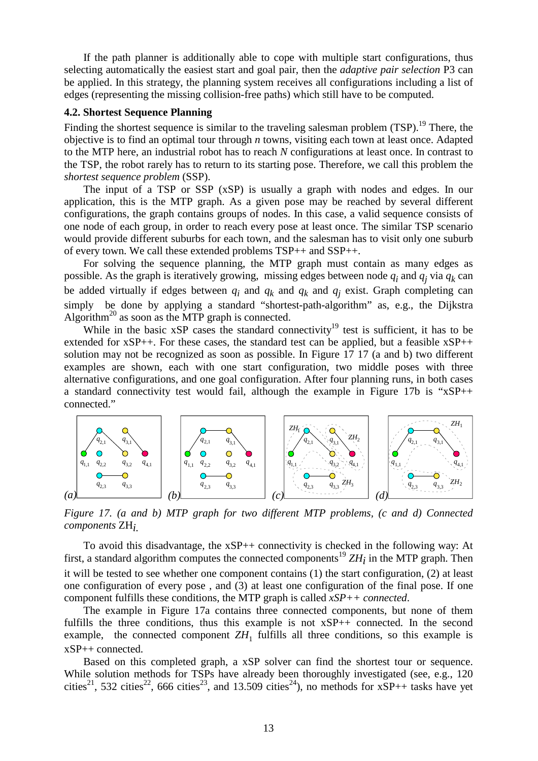If the path planner is additionally able to cope with multiple start configurations, thus selecting automatically the easiest start and goal pair, then the *adaptive pair selection* P3 can be applied. In this strategy, the planning system receives all configurations including a list of edges (representing the missing collision-free paths) which still have to be computed.

#### **4.2. Shortest Sequence Planning**

Finding the shortest sequence is similar to the traveling salesman problem (TSP).<sup>19</sup> There, the objective is to find an optimal tour through *n* towns, visiting each town at least once. Adapted to the MTP here, an industrial robot has to reach *N* configurations at least once. In contrast to the TSP, the robot rarely has to return to its starting pose. Therefore, we call this problem the *shortest sequence problem* (SSP).

The input of a TSP or SSP (xSP) is usually a graph with nodes and edges. In our application, this is the MTP graph. As a given pose may be reached by several different configurations, the graph contains groups of nodes. In this case, a valid sequence consists of one node of each group, in order to reach every pose at least once. The similar TSP scenario would provide different suburbs for each town, and the salesman has to visit only one suburb of every town. We call these extended problems TSP++ and SSP++.

For solving the sequence planning, the MTP graph must contain as many edges as possible. As the graph is iteratively growing, missing edges between node  $q_i$  and  $q_j$  via  $q_k$  can be added virtually if edges between  $q_i$  and  $q_k$  and  $q_j$  and  $q_j$  exist. Graph completing can simply be done by applying a standard "shortest-path-algorithm" as, e.g., the Dijkstra Algorithm<sup>20</sup> as soon as the MTP graph is connected.

While in the basic xSP cases the standard connectivity<sup>19</sup> test is sufficient, it has to be extended for  $xSP_{++}$ . For these cases, the standard test can be applied, but a feasible  $xSP_{++}$ solution may not be recognized as soon as possible. In Figure 17 17 (a and b) two different examples are shown, each with one start configuration, two middle poses with three alternative configurations, and one goal configuration. After four planning runs, in both cases a standard connectivity test would fail, although the example in Figure 17b is " $xSP++$ connected."



*Figure 17. (a and b) MTP graph for two different MTP problems, (c and d) Connected components* ZH*i.* 

To avoid this disadvantage, the xSP++ connectivity is checked in the following way: At first, a standard algorithm computes the connected components<sup>19</sup>  $ZH_i$  in the MTP graph. Then it will be tested to see whether one component contains (1) the start configuration, (2) at least one configuration of every pose , and (3) at least one configuration of the final pose. If one component fulfills these conditions, the MTP graph is called *xSP++ connected*.

The example in Figure 17a contains three connected components, but none of them fulfills the three conditions, thus this example is not  $xSP++$  connected. In the second example, the connected component  $ZH_1$  fulfills all three conditions, so this example is xSP++ connected.

Based on this completed graph, a xSP solver can find the shortest tour or sequence. While solution methods for TSPs have already been thoroughly investigated (see, e.g., 120 cities<sup>21</sup>, 532 cities<sup>22</sup>, 666 cities<sup>23</sup>, and 13.509 cities<sup>24</sup>), no methods for xSP++ tasks have yet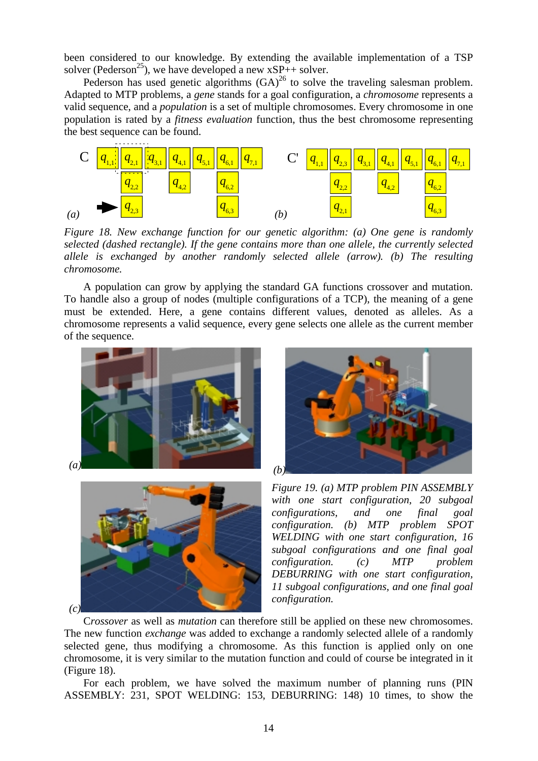been considered to our knowledge. By extending the available implementation of a TSP solver (Pederson<sup>25</sup>), we have developed a new  $xSP++$  solver.

Pederson has used genetic algorithms  $(GA)^{26}$  to solve the traveling salesman problem. Adapted to MTP problems, a *gene* stands for a goal configuration, a *chromosome* represents a valid sequence, and a *population* is a set of multiple chromosomes. Every chromosome in one population is rated by a *fitness evaluation* function, thus the best chromosome representing the best sequence can be found.



*Figure 18. New exchange function for our genetic algorithm: (a) One gene is randomly selected (dashed rectangle). If the gene contains more than one allele, the currently selected allele is exchanged by another randomly selected allele (arrow). (b) The resulting chromosome.* 

A population can grow by applying the standard GA functions crossover and mutation. To handle also a group of nodes (multiple configurations of a TCP), the meaning of a gene must be extended. Here, a gene contains different values, denoted as alleles. As a chromosome represents a valid sequence, every gene selects one allele as the current member of the sequence.



*(c)*



*Figure 19. (a) MTP problem PIN ASSEMBLY with one start configuration, 20 subgoal configurations, and one final goal configuration. (b) MTP problem SPOT WELDING with one start configuration, 16 subgoal configurations and one final goal configuration. (c) MTP problem DEBURRING with one start configuration, 11 subgoal configurations, and one final goal configuration.* 

C*rossover* as well as *mutation* can therefore still be applied on these new chromosomes. The new function *exchange* was added to exchange a randomly selected allele of a randomly selected gene, thus modifying a chromosome. As this function is applied only on one chromosome, it is very similar to the mutation function and could of course be integrated in it (Figure 18).

For each problem, we have solved the maximum number of planning runs (PIN ASSEMBLY: 231, SPOT WELDING: 153, DEBURRING: 148) 10 times, to show the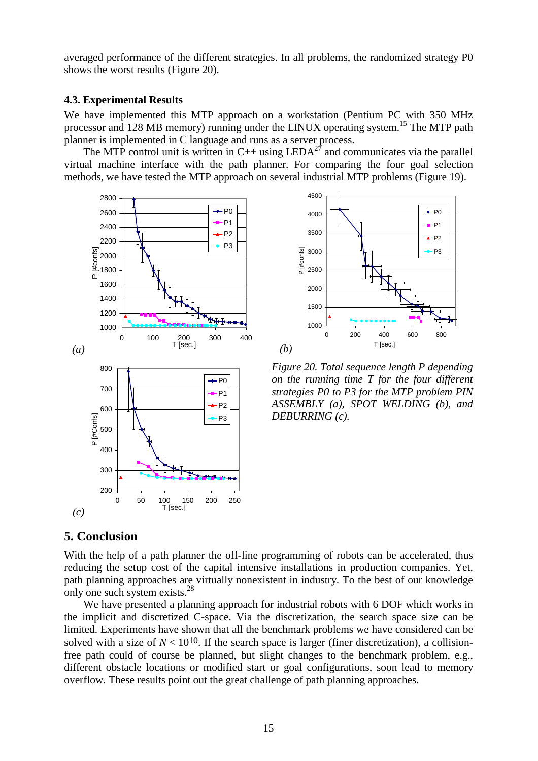averaged performance of the different strategies. In all problems, the randomized strategy P0 shows the worst results (Figure 20).

#### **4.3. Experimental Results**

We have implemented this MTP approach on a workstation (Pentium PC with 350 MHz processor and 128 MB memory) running under the LINUX operating system.<sup>15</sup> The MTP path planner is implemented in C language and runs as a server process.

The MTP control unit is written in C++ using LEDA<sup>27</sup> and communicates via the parallel virtual machine interface with the path planner. For comparing the four goal selection methods, we have tested the MTP approach on several industrial MTP problems (Figure 19).





*Figure 20. Total sequence length P depending on the running time T for the four different strategies P0 to P3 for the MTP problem PIN ASSEMBLY (a), SPOT WELDING (b), and DEBURRING (c).* 

# **5. Conclusion**

With the help of a path planner the off-line programming of robots can be accelerated, thus reducing the setup cost of the capital intensive installations in production companies. Yet, path planning approaches are virtually nonexistent in industry. To the best of our knowledge only one such system exists.28

We have presented a planning approach for industrial robots with 6 DOF which works in the implicit and discretized C-space. Via the discretization, the search space size can be limited. Experiments have shown that all the benchmark problems we have considered can be solved with a size of  $N < 10^{10}$ . If the search space is larger (finer discretization), a collisionfree path could of course be planned, but slight changes to the benchmark problem, e.g., different obstacle locations or modified start or goal configurations, soon lead to memory overflow. These results point out the great challenge of path planning approaches.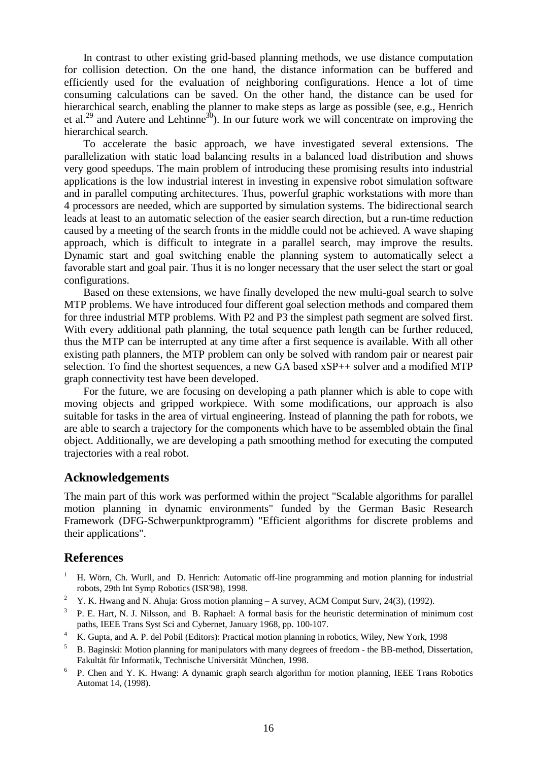In contrast to other existing grid-based planning methods, we use distance computation for collision detection. On the one hand, the distance information can be buffered and efficiently used for the evaluation of neighboring configurations. Hence a lot of time consuming calculations can be saved. On the other hand, the distance can be used for hierarchical search, enabling the planner to make steps as large as possible (see, e.g., Henrich et al.<sup>29</sup> and Autere and Lehtinne<sup>30</sup>). In our future work we will concentrate on improving the hierarchical search.

To accelerate the basic approach, we have investigated several extensions. The parallelization with static load balancing results in a balanced load distribution and shows very good speedups. The main problem of introducing these promising results into industrial applications is the low industrial interest in investing in expensive robot simulation software and in parallel computing architectures. Thus, powerful graphic workstations with more than 4 processors are needed, which are supported by simulation systems. The bidirectional search leads at least to an automatic selection of the easier search direction, but a run-time reduction caused by a meeting of the search fronts in the middle could not be achieved. A wave shaping approach, which is difficult to integrate in a parallel search, may improve the results. Dynamic start and goal switching enable the planning system to automatically select a favorable start and goal pair. Thus it is no longer necessary that the user select the start or goal configurations.

Based on these extensions, we have finally developed the new multi-goal search to solve MTP problems. We have introduced four different goal selection methods and compared them for three industrial MTP problems. With P2 and P3 the simplest path segment are solved first. With every additional path planning, the total sequence path length can be further reduced, thus the MTP can be interrupted at any time after a first sequence is available. With all other existing path planners, the MTP problem can only be solved with random pair or nearest pair selection. To find the shortest sequences, a new GA based xSP++ solver and a modified MTP graph connectivity test have been developed.

For the future, we are focusing on developing a path planner which is able to cope with moving objects and gripped workpiece. With some modifications, our approach is also suitable for tasks in the area of virtual engineering. Instead of planning the path for robots, we are able to search a trajectory for the components which have to be assembled obtain the final object. Additionally, we are developing a path smoothing method for executing the computed trajectories with a real robot.

# **Acknowledgements**

The main part of this work was performed within the project "Scalable algorithms for parallel motion planning in dynamic environments" funded by the German Basic Research Framework (DFG-Schwerpunktprogramm) "Efficient algorithms for discrete problems and their applications".

# **References**

- 1 H. Wörn, Ch. Wurll, and D. Henrich: Automatic off-line programming and motion planning for industrial robots, 29th Int Symp Robotics (ISR'98), 1998. 2
- Y. K. Hwang and N. Ahuja: Gross motion planning A survey, ACM Comput Surv, 24(3), (1992).
- 3 P. E. Hart, N. J. Nilsson, and B. Raphael: A formal basis for the heuristic determination of minimum cost paths, IEEE Trans Syst Sci and Cybernet, January 1968, pp. 100-107.
- K. Gupta, and A. P. del Pobil (Editors): Practical motion planning in robotics, Wiley, New York, 1998
- 5 B. Baginski: Motion planning for manipulators with many degrees of freedom - the BB-method, Dissertation, Fakultät für Informatik, Technische Universität München, 1998.
- P. Chen and Y. K. Hwang: A dynamic graph search algorithm for motion planning, IEEE Trans Robotics Automat 14, (1998).